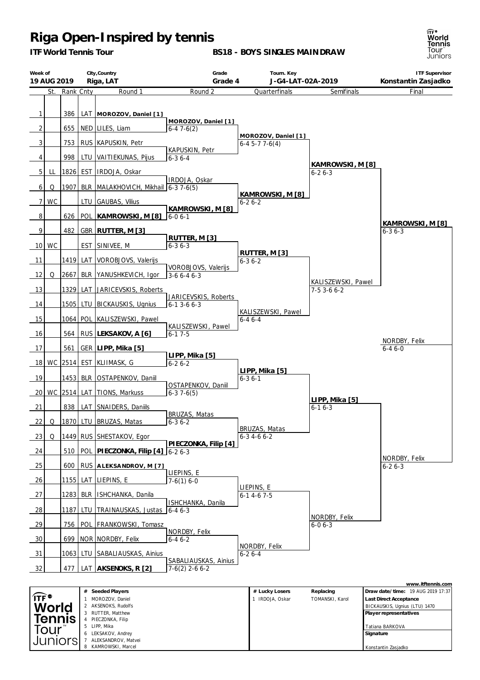*ITF World Tennis Tour*

**BS18 - BOYS SINGLES MAINDRAW**



| Week of<br>19 AUG 2019 |           |               |            | City, Country<br>Riga, LAT          | Grade<br>Grade 4                              | Tourn. Key<br>J-G4-LAT-02A-2019         |                                   | <b>ITF Supervisor</b><br>Konstantin Zasjadko                |
|------------------------|-----------|---------------|------------|-------------------------------------|-----------------------------------------------|-----------------------------------------|-----------------------------------|-------------------------------------------------------------|
|                        |           | St. Rank Cnty |            | Round 1                             | Round 2                                       | Quarterfinals                           | Semifinals                        | Final                                                       |
| 1                      |           | 386           |            | LAT   MOROZOV, Daniel [1]           |                                               |                                         |                                   |                                                             |
| 2                      |           | 655           |            | NED   LILES, Liam                   | MOROZOV, Daniel [1]<br>$6-47-6(2)$            |                                         |                                   |                                                             |
| 3                      |           | 753           |            | RUS KAPUSKIN, Petr                  |                                               | MOROZOV, Daniel [1]<br>$6-4$ 5-7 7-6(4) |                                   |                                                             |
| 4                      |           | 998           |            | LTU VAITIEKUNAS, Pijus              | KAPUSKIN, Petr<br>$6 - 36 - 4$                |                                         |                                   |                                                             |
| 5 <sub>l</sub>         | LL        | 1826          |            | EST   IRDOJA, Oskar                 |                                               |                                         | KAMROWSKI, M [8]<br>$6 - 26 - 3$  |                                                             |
| 6                      | Q         | 1907          |            | BLR MALAKHOVICH, Mikhail            | IRDOJA, Oskar<br>$6-37-6(5)$                  |                                         |                                   |                                                             |
| 7                      | <b>WC</b> |               | ltu        | GAUBAS, Vilius                      |                                               | KAMROWSKI, M [8]<br>$6 - 26 - 2$        |                                   |                                                             |
| 8                      |           | 626           | <b>POL</b> | KAMROWSKI, M [8]                    | KAMROWSKI, M [8]<br>$6 - 06 - 1$              |                                         |                                   |                                                             |
| 9                      |           | 482           |            | GBR   RUTTER, M [3]                 |                                               |                                         |                                   | KAMROWSKI, M [8]<br>$6 - 36 - 3$                            |
| 10 <sup>1</sup>        | WC        |               | <b>EST</b> | SINIVEE, M                          | RUTTER, M [3]<br>$6 - 36 - 3$                 |                                         |                                   |                                                             |
| 11                     |           | 1419          | LAT        | VOROBJOVS, Valerijs                 |                                               | RUTTER, M [3]<br>$6 - 36 - 2$           |                                   |                                                             |
| 12                     | Q         | 2667          | BLR        | YANUSHKEVICH, Igor                  | VOROBJOVS, Valerijs<br>$3-66-46-3$            |                                         |                                   |                                                             |
| 13                     |           | 1329          | LAT        | JARICEVSKIS, Roberts                |                                               |                                         | KALISZEWSKI, Pawel<br>$7-53-66-2$ |                                                             |
| 14                     |           | 1505          | LTU        | BICKAUSKIS, Ugnius                  | JARICEVSKIS, Roberts<br>$6 - 1$ 3 - 6 $6 - 3$ |                                         |                                   |                                                             |
| 15                     |           | 1064          |            | POL KALISZEWSKI, Pawel              |                                               | KALISZEWSKI, Pawel<br>$6 - 46 - 4$      |                                   |                                                             |
| 16                     |           | 564           |            | RUS LEKSAKOV, A [6]                 | KALISZEWSKI, Pawel<br>$6 - 17 - 5$            |                                         |                                   |                                                             |
| 17                     |           | 561           |            | GER LIPP, Mika [5]                  |                                               |                                         |                                   | NORDBY, Felix<br>$6 - 46 - 0$                               |
| 18                     |           | WC 2514       |            | EST KLIIMASK, G                     | LIPP, Mika [5]<br>$6 - 26 - 2$                |                                         |                                   |                                                             |
| 19                     |           |               |            | 1453 BLR OSTAPENKOV, Daniil         |                                               | LIPP, Mika [5]<br>$6 - 36 - 1$          |                                   |                                                             |
| 20 l                   |           | WC 2514 LAT   |            | TIONS, Markuss                      | OSTAPENKOV, Daniil<br>$6-37-6(5)$             |                                         |                                   |                                                             |
| 21                     |           | 838           |            | LAT SNAIDERS, Daniils               |                                               |                                         | LIPP, Mika [5]<br>$6 - 16 - 3$    |                                                             |
| 22                     | Q         |               |            | 1870 LTU BRUZAS, Matas              | BRUZAS, Matas<br>$6 - 36 - 2$                 |                                         |                                   |                                                             |
| 23                     | Q         |               |            | 1449 RUS SHESTAKOV, Egor            |                                               | BRUZAS, Matas<br>$6 - 3 4 - 6 6 - 2$    |                                   |                                                             |
| 24                     |           | 510           | <b>POL</b> | PIECZONKA, Filip [4] 6-2 6-3        | PIECZONKA, Filip [4]                          |                                         |                                   |                                                             |
| 25                     |           | 600           |            | RUS ALEKSANDROV, M [7]              |                                               |                                         |                                   | NORDBY, Felix<br>$6 - 26 - 3$                               |
| 26                     |           | 1155          | LAT        | LIEPINS, E                          | LIEPINS, E<br>$7-6(1)6-0$                     |                                         |                                   |                                                             |
| 27                     |           | 1283          | <b>BLR</b> | ISHCHANKA, Danila                   |                                               | LIEPINS, E<br>$6 - 14 - 67 - 5$         |                                   |                                                             |
| $\frac{28}{ }$         |           | 1187          | LTU        | TRAINAUSKAS, Justas                 | ISHCHANKA, Danila<br>$6 - 46 - 3$             |                                         |                                   |                                                             |
| <u>29</u>              |           | 756           | POL        | FRANKOWSKI, Tomasz                  |                                               |                                         | NORDBY, Felix<br>$6-06-3$         |                                                             |
| 30                     |           | 699           |            | NOR   NORDBY, Felix                 | NORDBY, Felix<br>$6 - 46 - 2$                 |                                         |                                   |                                                             |
| $\frac{31}{2}$         |           | 1063          | LTU        | SABALIAUSKAS, Ainius                |                                               | NORDBY, Felix<br>$6 - 26 - 4$           |                                   |                                                             |
| 32                     |           | 477           |            | LAT AKSENOKS, R [2]                 | SABALIAUSKAS, Ainius<br>$7-6(2)$ 2-6 6-2      |                                         |                                   |                                                             |
|                        |           |               |            |                                     |                                               |                                         |                                   | www.itftennis.com                                           |
| $Tr\vec{F}$            |           |               |            | # Seeded Players<br>MOROZOV, Daniel |                                               | # Lucky Losers<br>1 IRDOJA, Oskar       | Replacing<br>TOMANSKI, Karol      | Draw date/time: 19 AUG 2019 17:37<br>Last Direct Acceptance |

|                          | Seeded Players<br>#    | # Lucky Losers | Replacing       | Draw date/time: 19 AUG 2019 17:37 |
|--------------------------|------------------------|----------------|-----------------|-----------------------------------|
| $\widehat{IF}^{\bullet}$ | MOROZOV, Daniel        | IRDOJA, Oskar  | TOMANSKI, Karol | Last Direct Acceptance            |
| World                    | 2 AKSENOKS, Rudolfs    |                |                 | BICKAUSKIS, Ugnius (LTU) 1470     |
|                          | RUTTER, Matthew        |                |                 | Player representatives            |
| <b>Tennis</b>            | PIECZONKA, Filip       |                |                 |                                   |
| <sub>1</sub> Our™        | 5 LIPP, Mika           |                |                 | Tatiana BARKOVA                   |
|                          | LEKSAKOV, Andrey<br>6. |                |                 | Signature                         |
| Juniorsi                 | ALEKSANDROV, Matvei    |                |                 |                                   |
|                          | KAMROWSKI, Marcel      |                |                 | Konstantin Zasjadko               |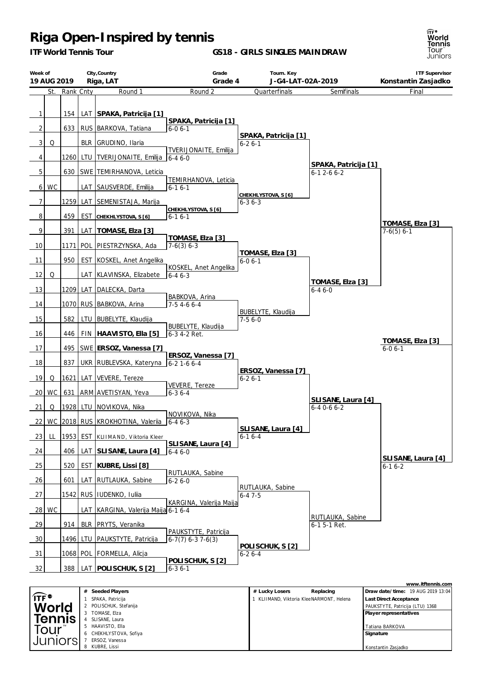SLISANE, Laura HAAVISTO, Ella CHEKHLYSTOVA, Sofiya ERSOZ, Vanessa KUBRE, Lissi

Tour Juniors|

*ITF World Tennis Tour*

**GS18 - GIRLS SINGLES MAINDRAW**

ਜਿੰ\*<br>**World<br>Tennis**<br>Tour<br>Juniors

Tatiana BARKOVA **Signature**

Konstantin Zasjadko

| Week of        | 19 AUG 2019 |                 |            | City, Country<br>Riga, LAT               | Grade<br>Grade 4                          | Tourn. Key<br>J-G4-LAT-02A-2019                             |                                           | <b>ITF Supervisor</b><br>Konstantin Zasjadko                |
|----------------|-------------|-----------------|------------|------------------------------------------|-------------------------------------------|-------------------------------------------------------------|-------------------------------------------|-------------------------------------------------------------|
|                | St.         | Rank Cnty       |            | Round 1                                  | Round 2                                   | Quarterfinals                                               | Semifinals                                | Final                                                       |
|                |             |                 |            |                                          |                                           |                                                             |                                           |                                                             |
| $\mathbf{1}$   |             | 154             |            | LAT SPAKA, Patricija [1]                 | SPAKA, Patricija [1]                      |                                                             |                                           |                                                             |
| $\overline{2}$ |             | 633             |            | RUS   BARKOVA, Tatiana                   | $6 - 06 - 1$                              | SPAKA, Patricija [1]                                        |                                           |                                                             |
| 3              | Q           |                 |            | BLR GRUDINO, Ilaria                      | TVERIJONAITE, Emilija                     | $6 - 26 - 1$                                                |                                           |                                                             |
| 4              |             | 1260            | LTU        | TVERIJONAITE, Emilija                    | $6 - 46 - 0$                              |                                                             |                                           |                                                             |
| 5              |             | 630             |            | SWE TEMIRHANOVA, Leticia                 |                                           |                                                             | SPAKA, Patricija [1]<br>$6 - 12 - 66 - 2$ |                                                             |
| $6 \mid$       | <b>WC</b>   |                 |            | LAT SAUSVERDE, Emilija                   | TEMIRHANOVA, Leticia<br>$6 - 16 - 1$      |                                                             |                                           |                                                             |
| 7              |             |                 |            | 1259 LAT SEMENISTAJA, Marija             |                                           | CHEKHLYSTOVA, S [6]<br>$6 - 36 - 3$                         |                                           |                                                             |
| 8              |             | 459             |            | EST CHEKHLYSTOVA, S [6]                  | CHEKHLYSTOVA, S [6]<br>$6 - 16 - 1$       |                                                             |                                           |                                                             |
| 9              |             | 391             |            | LAT   TOMASE, Elza [3]                   |                                           |                                                             |                                           | TOMASE, Elza [3]                                            |
|                |             |                 |            |                                          | TOMASE, Elza [3]                          |                                                             |                                           | $7-6(5)$ 6-1                                                |
| 10             |             | 1171            |            | POL PIESTRZYNSKA, Ada                    | $7-6(3)$ 6-3                              | TOMASE, Elza [3]                                            |                                           |                                                             |
| 11             |             | 950             |            | EST KOSKEL, Anet Angelika                | KOSKEL, Anet Angelika                     | $6 - 06 - 1$                                                |                                           |                                                             |
| 12             | Q           |                 |            | LAT KLAVINSKA, Elizabete                 | $6 - 46 - 3$                              |                                                             | TOMASE, Elza [3]                          |                                                             |
| 13             |             |                 |            | 1209 LAT DALECKA, Darta                  | BABKOVA, Arina                            |                                                             | $6 - 46 - 0$                              |                                                             |
| 14             |             |                 |            | 1070 RUS BABKOVA, Arina                  | $7-54-66-4$                               |                                                             |                                           |                                                             |
| 15             |             | 582             |            | LTU   BUBELYTE, Klaudija                 |                                           | BUBELYTE, Klaudija<br>$7-56-0$                              |                                           |                                                             |
| 16             |             | 446             |            | FIN   HAAVISTO, Ella [5]                 | BUBELYTE, Klaudija<br>6-3 4-2 Ret.        |                                                             |                                           |                                                             |
| 17             |             | 495             |            | SWE ERSOZ, Vanessa [7]                   |                                           |                                                             |                                           | TOMASE, Elza [3]<br>$6 - 06 - 1$                            |
| 18             |             | 837             |            | UKR RUBLEVSKA, Kateryna                  | ERSOZ, Vanessa [7]<br>$6 - 2$ 1 - 6 6 - 4 |                                                             |                                           |                                                             |
|                |             |                 |            |                                          |                                           | ERSOZ, Vanessa [7]                                          |                                           |                                                             |
| 19             | Q           | 1621            | LAT        | VEVERE, Tereze                           | VEVERE, Tereze                            | $6-26-1$                                                    |                                           |                                                             |
| 20             | <b>WC</b>   | 631             |            | ARM AVETISYAN, Yeva                      | $6 - 36 - 4$                              |                                                             | SLISANE, Laura [4]                        |                                                             |
| 21             | Q           |                 |            | 1928   LTU   NOVIKOVA, Nika              | NOVIKOVA, Nika                            |                                                             | $6 - 40 - 66 - 2$                         |                                                             |
|                |             |                 |            | 22 WC 2018 RUS KROKHOTINA, Valeriia      | $6 - 46 - 3$                              | SLISANE, Laura [4]                                          |                                           |                                                             |
| 23             | LL          | 1953            | <b>EST</b> | KLIIMAND, Viktoria Kleer                 |                                           | $6-16-4$                                                    |                                           |                                                             |
| 24             |             | 406             | LAT        | SLISANE, Laura [4]                       | SLISANE, Laura [4]<br>$6 - 46 - 0$        |                                                             |                                           |                                                             |
| <u>25</u>      |             | 520             |            | EST   KUBRE, Lissi [8]                   |                                           |                                                             |                                           | SLISANE, Laura [4]<br>$6 - 16 - 2$                          |
| 26             |             | 601             | LAT        | RUTLAUKA, Sabine                         | RUTLAUKA, Sabine<br>$6 - 26 - 0$          |                                                             |                                           |                                                             |
| 27             |             |                 |            | 1542 RUS   IUDENKO, Iulija               |                                           | RUTLAUKA, Sabine<br>$6 - 47 - 5$                            |                                           |                                                             |
|                | 28 WC       |                 |            | LAT   KARGINA, Valerija Maija 6-1 6-4    | KARGINA, Valerija Maija                   |                                                             |                                           |                                                             |
|                |             |                 |            |                                          |                                           |                                                             | RUTLAUKA, Sabine                          |                                                             |
| 29             |             | 914             |            | BLR   PRYTS, Veranika                    | PAUKSTYTE, Patricija                      |                                                             | 6-1 5-1 Ret.                              |                                                             |
| 30             |             | 14961           |            | LTU   PAUKSTYTE, Patricija               | $6-7(7)$ 6-3 7-6(3)                       | POLISCHUK, S[2]                                             |                                           |                                                             |
| 31             |             |                 |            | <u>1068   POL   FORMELLA, Alicja</u>     | POLISCHUK, S [2]                          | $6 - 26 - 4$                                                |                                           |                                                             |
| 32             |             | 388             |            | LAT POLISCHUK, S [2]                     | $6 - 36 - 1$                              |                                                             |                                           |                                                             |
|                |             |                 |            |                                          |                                           |                                                             |                                           | www.itftennis.com                                           |
| ∏F®            |             |                 |            | # Seeded Players<br>SPAKA, Patricija     |                                           | # Lucky Losers<br>1 KLIIMAND, Viktoria Klee NARMONT, Helena | Replacing                                 | Draw date/time: 19 AUG 2019 13:04<br>Last Direct Acceptance |
|                |             | World<br>Tennis |            | 2 POLISCHUK, Stefanija<br>3 TOMASE, Elza |                                           |                                                             |                                           | PAUKSTYTE, Patricija (LTU) 1368<br>Player representatives   |
|                |             |                 |            | 4 SLISANE, Laura                         |                                           |                                                             |                                           |                                                             |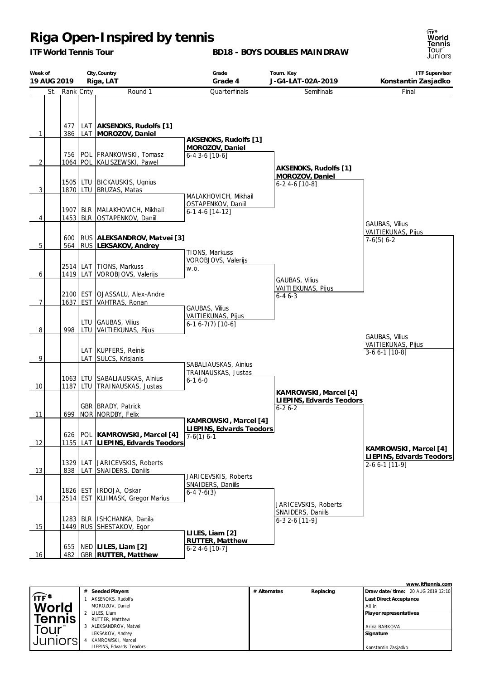*ITF World Tennis Tour*

#### **BD18 - BOYS DOUBLES MAINDRAW**

**Week of 19 AUG 2019 City,Country Riga, LAT Grade Grade 4 Tourn. Key J-G4-LAT-02A-2019 ITF Supervisor Konstantin Zasjadko** St. Rank Cnty Round 1 1 | 386 477 LAT LAT **AKSENOKS, Rudolfs [1] MOROZOV, Daniel** 2 | 1064 756 POL POL FRANKOWSKI, Tomasz KALISZEWSKI, Pawel 3 1870 1505 LTU LTU BICKAUSKIS, Ugnius BRUZAS, Matas 4 1453 1907 BLR BLR MALAKHOVICH, Mikhail OSTAPENKOV, Daniil 5 564 600 RUS RUS **ALEKSANDROV, Matvei [3] LEKSAKOV, Andrey** 6 1419 2514 LAT LAT TIONS, Markuss VOROBJOVS, Valerijs 7 1637 2100 EST EST OJASSALU, Alex-Andre VAHTRAS, Ronan 8 998 LTU LTU GAUBAS, Vilius VAITIEKUNAS, Pijus  $9$   $\vert$   $\vert$  LAT LAT KUPFERS, Reinis SULCS, Krisjanis 10 1187 1063 LTU LTU SABALIAUSKAS, Ainius TRAINAUSKAS, Justas 11 | 699 | NOR GBR BRADY, Patrick NORDBY, Felix 12 | 1155 626 LAT POL **KAMROWSKI, Marcel [4] LIEPINS, Edvards Teodors** 13 838 1329 LAT LAT JARICEVSKIS, Roberts SNAIDERS, Daniils 14 2514 1826 EST EST | IRDOJA, Oskar KLIIMASK, Gregor Marius 15 1449 1283 RUS BLR ISHCHANKA, Danila SHESTAKOV, Egor 16 | 482 655 GBR **RUTTER, Matthew** NED **LILES, Liam [2] Quarterfinals AKSENOKS, Rudolfs [1] MOROZOV, Daniel** 6-4 3-6 [10-6] MALAKHOVICH, Mikhail OSTAPENKOV, Daniil 6-1 4-6 [14-12] TIONS, Markuss VOROBJOVS, Valerijs w.o. GAUBAS, Vilius VAITIEKUNAS, Pijus 6-1 6-7(7) [10-6] SABALIAUSKAS, Ainius TRAINAUSKAS, Justas 6-1 6-0 **KAMROWSKI, Marcel [4] LIEPINS, Edvards Teodors** 7-6(1) 6-1 JARICEVSKIS, Roberts SNAIDERS, Daniils  $6-47-6(3)$ **LILES, Liam [2] RUTTER, Matthew** 6-2 4-6 [10-7] **Semifinals AKSENOKS, Rudolfs [1] MOROZOV, Daniel** 6-2 4-6 [10-8] GAUBAS, Vilius VAITIEKUNAS, Pijus 6-4 6-3 **KAMROWSKI, Marcel [4] LIEPINS, Edvards Teodors** 6-2 6-2 JARICEVSKIS, Roberts SNAIDERS, Daniils 6-3 2-6 [11-9] Final GAUBAS, Vilius VAITIEKUNAS, Pijus 7-6(5) 6-2 **KAMROWSKI, Marcel [4] LIEPINS, Edvards Teodors** 2-6 6-1 [11-9] GAUBAS, Vilius VAITIEKUNAS, Pijus 3-6 6-1 [10-8]

|                  |   |                          |              |           | www.itftennis.com                 |
|------------------|---|--------------------------|--------------|-----------|-----------------------------------|
|                  | # | Seeded Players           | # Alternates | Replacing | Draw date/time: 20 AUG 2019 12:10 |
| $\widehat{IF^*}$ |   | AKSENOKS, Rudolfs        |              |           | <b>Last Direct Acceptance</b>     |
| <b>World</b>     |   | MOROZOV, Daniel          |              |           | All in                            |
|                  |   | LILES, Liam              |              |           | Player representatives            |
| <b>Tennis</b>    |   | RUTTER, Matthew          |              |           |                                   |
| our              |   | 3 ALEKSANDROV, Matvei    |              |           | Arina BABKOVA                     |
|                  |   | LEKSAKOV, Andrey         |              |           | Signature                         |
| Juniors          |   | KAMROWSKI, Marcel        |              |           |                                   |
|                  |   | LIEPINS, Edvards Teodors |              |           | Konstantin Zasjadko               |

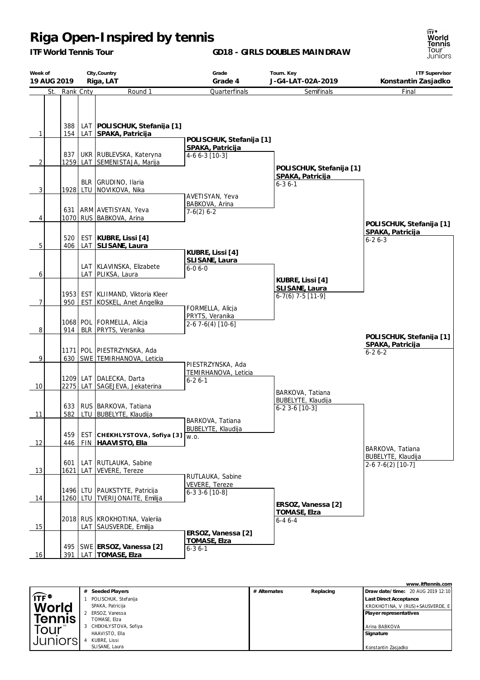*ITF World Tennis Tour*

**GD18 - GIRLS DOUBLES MAINDRAW**

**Week of 19 AUG 2019 City,Country Riga, LAT Grade Grade 4 Tourn. Key J-G4-LAT-02A-2019 ITF Supervisor Konstantin Zasjadko** St. Rank Cnty Round 1 1 | 154 388 LAT LAT **POLISCHUK, Stefanija [1] SPAKA, Patricija** 2 | 1259 837 LAT UKR RUBLEVSKA, Kateryna SEMENISTAJA, Marija  $3$  | | | 1928 | LTU BLR GRUDINO, Ilaria NOVIKOVA, Nika 4 1070 631 RUS ARM AVETISYAN, Yeva BABKOVA, Arina 5 | 406 520 LAT EST **KUBRE, Lissi [4] SLISANE, Laura**  $6$   $\vert$   $\vert$  LAT LAT KLAVINSKA, Elizabete PLIKSA, Laura 7 | 950 1953 EST EST KLIIMAND, Viktoria Kleer KOSKEL, Anet Angelika 8 914 1068 BLR POL FORMELLA, Alicja PRYTS, Veranika 9 630 1171 SWE POL PIESTRZYNSKA, Ada TEMIRHANOVA, Leticia 10 2275 1209 LAT LAT DALECKA, Darta SAGEJEVA, Jekaterina 11 582 633 LTU RUS BARKOVA, Tatiana BUBELYTE, Klaudija 12 446 459 FIN EST **CHEKHLYST OVA , Sofiya [3] HAAVISTO, Ella** 13 | 1621 601 LAT LAT RUTLAUKA, Sabine VEVERE, Tereze 14 | 1260 1496 LTU LTU PAUKSTYTE, Patricija TVERIJONAITE, Emilija 15 2018 LAT RUS KROKHOTINA, Valerija SAUSVERDE, Emilija 16 | 391 495 SWE **ERSOZ, Vanessa [2]** LAT **TOMASE, Elza Quarterfinals POLISCHUK, Stefanija [1] SPAKA, Patricija** 4-6 6-3 [10-3] AVETISYAN, Yeva BABKOVA, Arina 7-6(2) 6-2 **KUBRE, Lissi [4] SLISANE, Laura** 6-0 6-0 FORMELLA, Alicja PRYTS, Veranika  $2-6$  7 $-6(4)$  [10 $-6$ ] PIESTRZYNSKA, Ada TEMIRHANOVA, Leticia 6-2 6-1 BARKOVA, Tatiana BUBELYTE, Klaudija w.o. RUTLAUKA, Sabine VEVERE, Tereze 6-3 3-6 [10-8] **ERSOZ, Vanessa [2] TOMASE, Elza** 6-3 6-1 **Semifinals POLISCHUK, Stefanija [1] SPAKA, Patricija**  $6 - 36 - 1$ **KUBRE, Lissi [4] SLISANE, Laura** 6-7(6) 7-5 [11-9] BARKOVA, Tatiana BUBELYTE, Klaudija 6-2 3-6 [10-3] **ERSOZ, Vanessa [2] TOMASE, Elza** 6-4 6-4 Final **POLISCHUK, Stefanija [1] SPAKA, Patricija** 6-2 6-3 BARKOVA, Tatiana BUBELYTE, Klaudija  $2-6$  7 $-6$ (2) [10 $-7$ ] **POLISCHUK, Stefanija [1] SPAKA, Patricija** 6-2 6-2

|                                        | Seeded Players<br>#    | # Alternates | Replacing | Draw date/time: 20 AUG 2019 12:10 |
|----------------------------------------|------------------------|--------------|-----------|-----------------------------------|
| $\int \mathsf{T} \mathsf{F}^{\bullet}$ | POLISCHUK, Stefanija   |              |           | Last Direct Acceptance            |
| World                                  | SPAKA, Patricija       |              |           | KROKHOTINA, V (RUS)+SAUSVERDE, E  |
|                                        | 2 ERSOZ, Vanessa       |              |           | Player representatives            |
| <b>Tennis</b>                          | TOMASE, Elza           |              |           |                                   |
| Tour <sup>"</sup>                      | 3 CHEKHLYSTOVA, Sofiya |              |           | Arina BABKOVA                     |
|                                        | HAAVISTO, Ella         |              |           | Signature                         |
| Juniorsi                               | KUBRE, Lissi           |              |           |                                   |
|                                        | SLISANE, Laura         |              |           | Konstantin Zasiadko               |

**www.itftennis.com**

**TF'** World Tennis Tour Juniors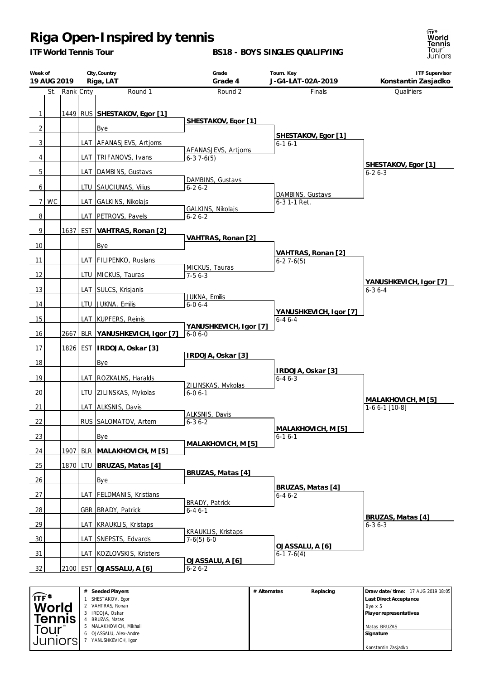*ITF World Tennis Tour*

#### **BS18 - BOYS SINGLES QUALIFYING**



| Week of        | 19 AUG 2019 |               |     | City, Country<br>Riga, LAT   | Grade<br>Grade 4                       |              | Tourn. Key<br>J-G4-LAT-02A-2019        | <b>ITF Supervisor</b><br>Konstantin Zasjadko |
|----------------|-------------|---------------|-----|------------------------------|----------------------------------------|--------------|----------------------------------------|----------------------------------------------|
|                |             | St. Rank Cnty |     | Round 1                      | Round 2                                |              | Finals                                 | Qualifiers                                   |
| $\mathbf{1}$   |             |               |     | 1449 RUS SHESTAKOV, Egor [1] | SHESTAKOV, Egor [1]                    |              |                                        |                                              |
| $\overline{c}$ |             |               |     | <b>Bye</b>                   |                                        |              |                                        |                                              |
| 3              |             |               |     | LAT AFANASJEVS, Artjoms      | AFANASJEVS, Artjoms                    |              | SHESTAKOV, Egor [1]<br>$6 - 16 - 1$    |                                              |
| 4              |             |               |     | LAT   TRIFANOVS, Ivans       | $6-37-6(5)$                            |              |                                        |                                              |
| 5              |             |               |     | LAT   DAMBINS, Gustavs       |                                        |              |                                        | SHESTAKOV, Egor [1]<br>$6 - 26 - 3$          |
| 6              |             |               |     | LTU SAUCIUNAS, Vilius        | DAMBINS, Gustavs<br>$6 - 26 - 2$       |              |                                        |                                              |
| $\overline{7}$ | <b>WC</b>   |               |     | LAT GALKINS, Nikolajs        |                                        |              | DAMBINS, Gustavs<br>$6-3$ 1-1 Ret.     |                                              |
| 8              |             |               |     | LAT_PETROVS, Pavels          | GALKINS, Nikolajs<br>$6 - 26 - 2$      |              |                                        |                                              |
| 9              |             | 1637          |     | EST VAHTRAS, Ronan [2]       |                                        |              |                                        |                                              |
| 10             |             |               |     | <b>Bye</b>                   | VAHTRAS, Ronan [2]                     |              |                                        |                                              |
|                |             |               |     |                              |                                        |              | VAHTRAS, Ronan [2]                     |                                              |
| 11             |             |               |     | LAT FILIPENKO, Ruslans       | MICKUS, Tauras                         |              | $6-27-6(5)$                            |                                              |
| 12             |             |               |     | LTU   MICKUS, Tauras         | $7-56-3$                               |              |                                        |                                              |
| 13             |             |               |     | LAT SULCS, Krisjanis         |                                        |              |                                        | YANUSHKEVICH, Igor [7]                       |
|                |             |               |     |                              | JUKNA, Emilis                          |              |                                        | $6 - 36 - 4$                                 |
| 14             |             |               |     | LTU JUKNA, Emilis            | $6 - 06 - 4$                           |              |                                        |                                              |
| 15             |             |               |     | LAT   KUPFERS, Reinis        |                                        |              | YANUSHKEVICH, Igor [7]<br>$6 - 46 - 4$ |                                              |
| 16             |             | 2667          |     | BLR YANUSHKEVICH, Igor [7]   | YANUSHKEVICH, Igor [7]<br>$6 - 06 - 0$ |              |                                        |                                              |
| 17             |             | 1826          |     | EST   IRDOJA, Oskar [3]      |                                        |              |                                        |                                              |
|                |             |               |     |                              | IRDOJA, Oskar [3]                      |              |                                        |                                              |
| 18             |             |               |     | Bye                          |                                        |              |                                        |                                              |
| 19             |             |               |     | LAT   ROZKALNS, Haralds      |                                        |              | IRDOJA, Oskar [3]<br>$6 - 46 - 3$      |                                              |
|                |             |               |     |                              | ZILINSKAS, Mykolas                     |              |                                        |                                              |
| 20             |             |               |     | LTU ZILINSKAS, Mykolas       | $6 - 06 - 1$                           |              |                                        | MALAKHOVICH, M [5]                           |
| 21             |             |               |     | LAT ALKSNIS, Davis           |                                        |              |                                        | $1-66-1$ [10-8]                              |
| 22             |             |               |     | RUS SALOMATOV, Artem         | ALKSNIS, Davis<br>$6 - 36 - 2$         |              |                                        |                                              |
|                |             |               |     |                              |                                        |              | MALAKHOVICH, M [5]                     |                                              |
| 23             |             |               |     | Bye                          | MALAKHOVICH, M [5]                     |              | $6 - 16 - 1$                           |                                              |
| 24             |             | 1907          |     | BLR MALAKHOVICH, M [5]       |                                        |              |                                        |                                              |
| 25             |             | 1870          |     | LTU   BRUZAS, Matas [4]      |                                        |              |                                        |                                              |
| 26             |             |               |     | Bye                          | BRUZAS, Matas [4]                      |              |                                        |                                              |
|                |             |               |     |                              |                                        |              | BRUZAS, Matas [4]                      |                                              |
| 27             |             |               | LAT | <b>FELDMANIS, Kristians</b>  | BRADY, Patrick                         |              | $6 - 46 - 2$                           |                                              |
| <u>28</u>      |             |               |     | GBR   BRADY, Patrick         | $6 - 46 - 1$                           |              |                                        |                                              |
| <u>29</u>      |             |               |     | LAT KRAUKLIS, Kristaps       |                                        |              |                                        | BRUZAS, Matas [4]<br>$6 - 36 - 3$            |
|                |             |               |     |                              | <b>KRAUKLIS, Kristaps</b>              |              |                                        |                                              |
| 30             |             |               |     | LAT SNEPSTS, Edvards         | $7-6(5) 6-0$                           |              | OJASSALU, A [6]                        |                                              |
| 31             |             |               |     | LAT   KOZLOVSKIS, Kristers   |                                        |              | $6-17-6(4)$                            |                                              |
| 32             |             |               |     | 2100 EST OJASSALU, A [6]     | OJASSALU, A [6]<br>$6 - 26 - 2$        |              |                                        |                                              |
|                |             |               |     |                              |                                        |              |                                        |                                              |
|                |             |               |     | # Seeded Players             |                                        | # Alternates | Replacing                              | Draw date/time: 17 AUG 2019 18:05            |

|                          | Seeded Players<br>#        | # Alternates | Replacing | Draw date/time: 17 AUG 2019 18:05 |
|--------------------------|----------------------------|--------------|-----------|-----------------------------------|
| $\widehat{IF}^{\bullet}$ | SHESTAKOV, Egor            |              |           | <b>Last Direct Acceptance</b>     |
| <b>World</b>             | VAHTRAS, Ronan             |              |           | Bye x 5                           |
|                          | IRDOJA, Oskar              |              |           | Player representatives            |
| <b>Tennis</b>            | <b>BRUZAS, Matas</b>       |              |           |                                   |
| <sub>"</sub> Our         | 5 MALAKHOVICH, Mikhail     |              |           | Matas BRUZAS                      |
|                          | OJASSALU, Alex-Andre<br>6. |              |           | Signature                         |
| Juniorsi                 | YANUSHKEVICH, Igor         |              |           |                                   |
|                          |                            |              |           | Konstantin Zasjadko               |